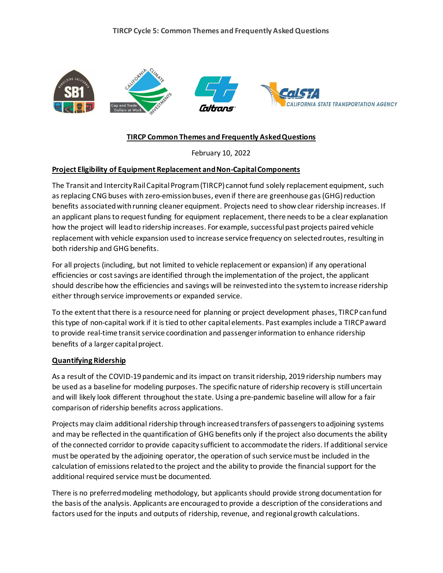

### **TIRCP Common Themes and Frequently Asked Questions**

February 10, 2022

#### **Project Eligibility of Equipment Replacement and Non-Capital Components**

The Transit and Intercity Rail Capital Program (TIRCP) cannot fund solely replacement equipment, such as replacing CNG buses with zero-emission buses, even if there are greenhouse gas (GHG) reduction benefits associated with running cleaner equipment. Projects need to show clear ridership increases. If an applicant plans to request funding for equipment replacement, there needs to be a clear explanation how the project will lead to ridership increases. For example, successful past projects paired vehicle replacement with vehicle expansion used to increase service frequency on selected routes, resulting in both ridership and GHG benefits.

For all projects (including, but not limited to vehicle replacement or expansion) if any operational efficiencies or cost savings are identified through the implementation of the project, the applicant should describe how the efficiencies and savings will be reinvested into the system to increase ridership either through service improvements or expanded service.

To the extent that there is a resource need for planning or project development phases, TIRCP can fund this type of non-capital work if it is tied to other capital elements. Past examples include a TIRCP award to provide real-time transit service coordination and passenger information to enhance ridership benefits of a larger capital project.

#### **Quantifying Ridership**

As a result of the COVID-19 pandemic and its impact on transit ridership, 2019 ridership numbers may be used as a baseline for modeling purposes. The specific nature of ridership recovery is still uncertain and will likely look different throughout the state. Using a pre-pandemic baseline will allow for a fair comparison of ridership benefits across applications.

Projects may claim additional ridership through increased transfers of passengers to adjoining systems and may be reflected in the quantification of GHG benefits only if the project also documents the ability of the connected corridor to provide capacity sufficient to accommodate the riders. If additional service must be operated by the adjoining operator, the operation of such service must be included in the calculation of emissions related to the project and the ability to provide the financial support for the additional required service must be documented.

There is no preferred modeling methodology, but applicants should provide strong documentation for the basis of the analysis. Applicants are encouraged to provide a description of the considerations and factors used for the inputs and outputs of ridership, revenue, and regional growth calculations.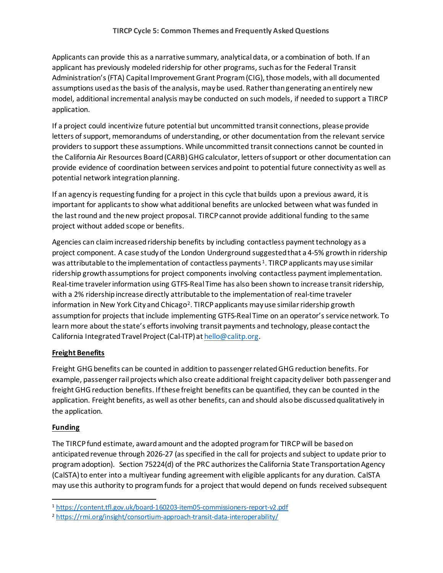Applicants can provide this as a narrative summary, analytical data, or a combination of both. If an applicant has previously modeled ridership for other programs, such as for the Federal Transit Administration's (FTA) Capital Improvement Grant Program (CIG), those models, with all documented assumptions used as the basis of the analysis, may be used. Rather than generating an entirely new model, additional incremental analysis may be conducted on such models, if needed to support a TIRCP application.

If a project could incentivize future potential but uncommitted transit connections, please provide letters of support, memorandums of understanding, or other documentation from the relevant service providers to support these assumptions. While uncommitted transit connections cannot be counted in the California Air Resources Board (CARB) GHG calculator, letters of support or other documentation can provide evidence of coordination between services and point to potential future connectivity as well as potential network integration planning.

If an agency is requesting funding for a project in this cycle that builds upon a previous award, it is important for applicants to show what additional benefits are unlocked between what was funded in the last round and the new project proposal. TIRCP cannot provide additional funding to the same project without added scope or benefits.

Agencies can claim increased ridership benefits by including contactless payment technology as a project component. A case study of the London Underground suggested that a 4-5% growth in ridership was attributable to the implementation of contactless payments  $1$ . TIRCP applicants may use similar ridership growth assumptions for project components involving contactless payment implementation. Real-time traveler information using GTFS-Real Time has also been shown to increase transitridership, with a 2% ridership increase directly attributable to the implementation of real-time traveler information in New York City and Chicago<sup>2</sup>. TIRCP applicants may use similar ridership growth assumption for projects that include implementing GTFS-Real Time on an operator's service network. To learn more about the state's efforts involving transit payments and technology, please contact the California Integrated Travel Project (Cal-ITP) at hello@calitp.org.

# **Freight Benefits**

Freight GHG benefits can be counted in addition to passengerrelated GHG reduction benefits. For example, passenger rail projects which also create additional freight capacity deliver both passenger and freight GHG reduction benefits. If these freight benefits can be quantified, they can be counted in the application. Freight benefits, as well as other benefits, can and should also be discussed qualitatively in the application.

# **Funding**

The TIRCP fund estimate, award amount and the adopted program for TIRCP will be based on anticipated revenue through 2026-27 (as specified in the call for projects and subject to update prior to program adoption). Section 75224(d) of the PRC authorizes the California State Transportation Agency (CalSTA) to enter into a multiyear funding agreement with eligible applicants for any duration. CalSTA may use this authority to program funds for a project that would depend on funds received subsequent

<sup>1</sup> https://content.tfl.gov.uk/board-160203-item05-commissioners-report-v2.pdf 2 https://rmi.org/insight/consortium-approach-transit-data-interoperability/